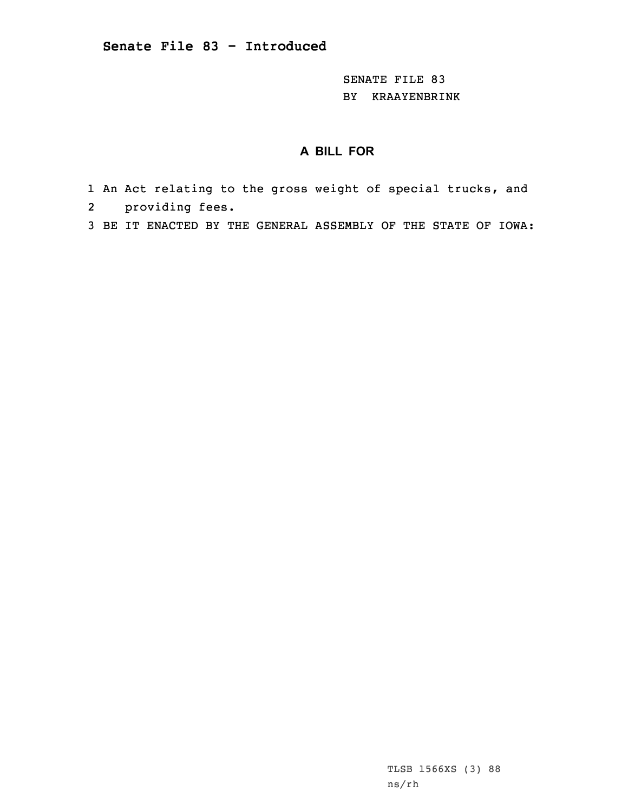SENATE FILE 83 BY KRAAYENBRINK

## **A BILL FOR**

- 1 An Act relating to the gross weight of special trucks, and 2 providing fees.
- 3 BE IT ENACTED BY THE GENERAL ASSEMBLY OF THE STATE OF IOWA:

TLSB 1566XS (3) 88 ns/rh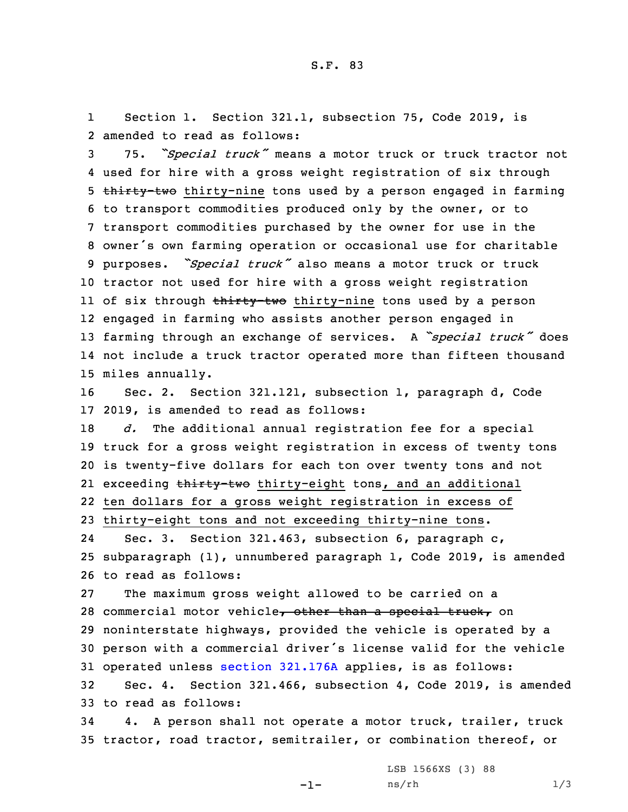1 Section 1. Section 321.1, subsection 75, Code 2019, is 2 amended to read as follows:

 75. *"Special truck"* means <sup>a</sup> motor truck or truck tractor not used for hire with <sup>a</sup> gross weight registration of six through 5 thirty-two thirty-nine tons used by a person engaged in farming to transport commodities produced only by the owner, or to transport commodities purchased by the owner for use in the owner's own farming operation or occasional use for charitable purposes. *"Special truck"* also means <sup>a</sup> motor truck or truck tractor not used for hire with <sup>a</sup> gross weight registration ll of six through <del>thirty-two</del> thirty-nine tons used by a person engaged in farming who assists another person engaged in farming through an exchange of services. <sup>A</sup> *"special truck"* does not include <sup>a</sup> truck tractor operated more than fifteen thousand miles annually.

16 Sec. 2. Section 321.121, subsection 1, paragraph d, Code 17 2019, is amended to read as follows:

 *d.* The additional annual registration fee for <sup>a</sup> special truck for <sup>a</sup> gross weight registration in excess of twenty tons is twenty-five dollars for each ton over twenty tons and not 21 exceeding <del>thirty-two</del> thirty-eight tons, and an additional ten dollars for <sup>a</sup> gross weight registration in excess of thirty-eight tons and not exceeding thirty-nine tons.

24 Sec. 3. Section 321.463, subsection 6, paragraph c, 25 subparagraph (1), unnumbered paragraph 1, Code 2019, is amended 26 to read as follows:

 The maximum gross weight allowed to be carried on <sup>a</sup> 28 commercial motor vehicle, other than a special truck, on noninterstate highways, provided the vehicle is operated by <sup>a</sup> person with <sup>a</sup> commercial driver's license valid for the vehicle operated unless section [321.176A](https://www.legis.iowa.gov/docs/code/2019/321.176A.pdf) applies, is as follows: Sec. 4. Section 321.466, subsection 4, Code 2019, is amended

33 to read as follows:

34 4. <sup>A</sup> person shall not operate <sup>a</sup> motor truck, trailer, truck 35 tractor, road tractor, semitrailer, or combination thereof, or

 $-1-$ 

LSB 1566XS (3) 88  $ns/rh$  1/3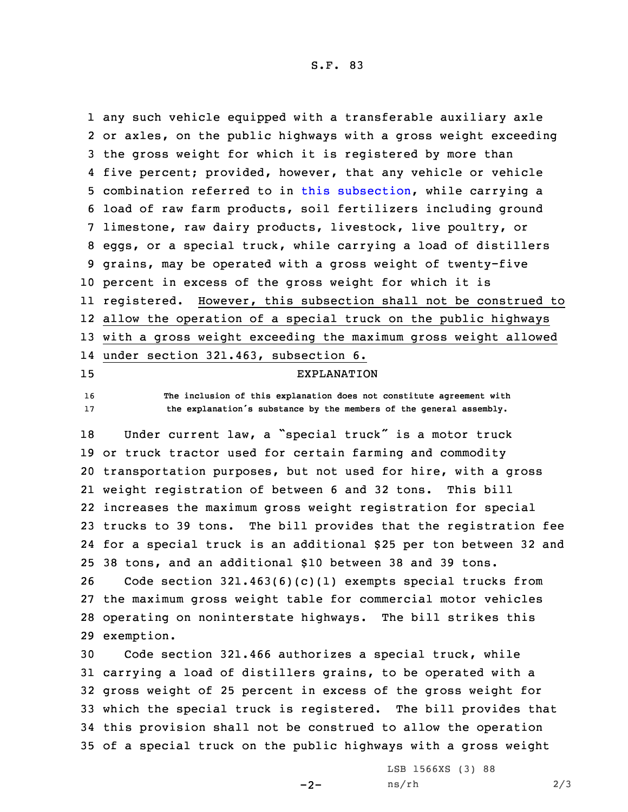S.F. 83

 any such vehicle equipped with <sup>a</sup> transferable auxiliary axle or axles, on the public highways with <sup>a</sup> gross weight exceeding the gross weight for which it is registered by more than five percent; provided, however, that any vehicle or vehicle combination referred to in this [subsection](https://www.legis.iowa.gov/docs/code/2019/321.466.pdf), while carrying <sup>a</sup> load of raw farm products, soil fertilizers including ground limestone, raw dairy products, livestock, live poultry, or eggs, or <sup>a</sup> special truck, while carrying <sup>a</sup> load of distillers grains, may be operated with <sup>a</sup> gross weight of twenty-five percent in excess of the gross weight for which it is registered. However, this subsection shall not be construed to allow the operation of <sup>a</sup> special truck on the public highways with <sup>a</sup> gross weight exceeding the maximum gross weight allowed under section 321.463, subsection 6. EXPLANATION **The inclusion of this explanation does not constitute agreement with the explanation's substance by the members of the general assembly.** Under current law, <sup>a</sup> "special truck" is <sup>a</sup> motor truck or truck tractor used for certain farming and commodity transportation purposes, but not used for hire, with <sup>a</sup> gross weight registration of between 6 and 32 tons. This bill increases the maximum gross weight registration for special trucks to 39 tons. The bill provides that the registration fee for <sup>a</sup> special truck is an additional \$25 per ton between 32 and 38 tons, and an additional \$10 between 38 and 39 tons. Code section 321.463(6)(c)(1) exempts special trucks from the maximum gross weight table for commercial motor vehicles operating on noninterstate highways. The bill strikes this exemption. Code section 321.466 authorizes <sup>a</sup> special truck, while carrying <sup>a</sup> load of distillers grains, to be operated with <sup>a</sup>

 gross weight of 25 percent in excess of the gross weight for which the special truck is registered. The bill provides that this provision shall not be construed to allow the operation of <sup>a</sup> special truck on the public highways with <sup>a</sup> gross weight

 $-2-$ 

LSB 1566XS (3) 88  $ns/rh$  2/3